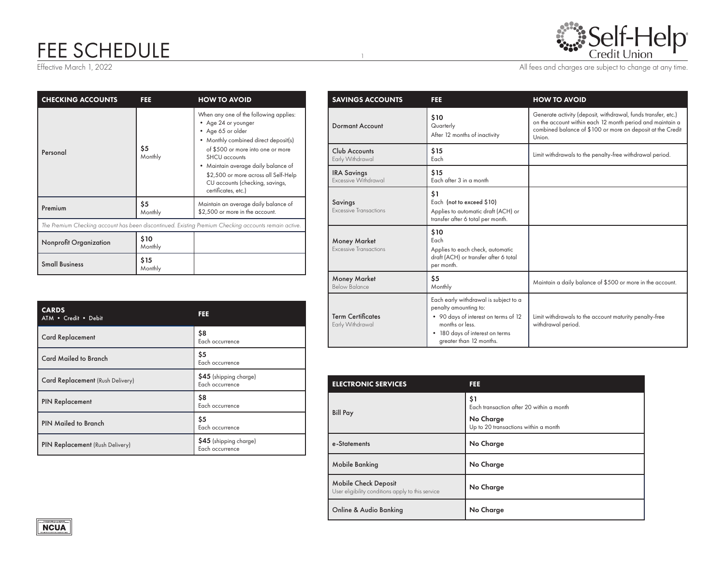## FEE SCHEDULE

|  | Self-Help |  |
|--|-----------|--|
|  |           |  |

Effective March 1, 2022 2003 2012 2012 2013 All fees and charges are subject to change at any time.

| <b>CHECKING ACCOUNTS</b>                                                                              | FEE             | <b>HOW TO AVOID</b>                                                                                                                                                                                                                                                                                                                  |  |
|-------------------------------------------------------------------------------------------------------|-----------------|--------------------------------------------------------------------------------------------------------------------------------------------------------------------------------------------------------------------------------------------------------------------------------------------------------------------------------------|--|
| Personal                                                                                              | \$5<br>Monthly  | When any one of the following applies:<br>• Age 24 or younger<br>• Age 65 or older<br>• Monthly combined direct deposit(s)<br>of \$500 or more into one or more<br>SHCU accounts<br>Maintain average daily balance of<br>$\bullet$<br>\$2,500 or more across all Self-Help<br>CU accounts (checking, savings,<br>certificates, etc.) |  |
| Premium                                                                                               | \$5<br>Monthly  | Maintain an average daily balance of<br>\$2,500 or more in the account.                                                                                                                                                                                                                                                              |  |
| The Premium Checking account has been discontinued. Existing Premium Checking accounts remain active. |                 |                                                                                                                                                                                                                                                                                                                                      |  |
| <b>Nonprofit Organization</b>                                                                         | \$10<br>Monthly |                                                                                                                                                                                                                                                                                                                                      |  |
| <b>Small Business</b>                                                                                 | \$15<br>Monthly |                                                                                                                                                                                                                                                                                                                                      |  |

| <b>CARDS</b><br>ATM . Credit . Debit | FEE                                       |
|--------------------------------------|-------------------------------------------|
| <b>Card Replacement</b>              | \$8<br>Each occurrence                    |
| <b>Card Mailed to Branch</b>         | \$5<br>Each occurrence                    |
| Card Replacement (Rush Delivery)     | \$45 (shipping charge)<br>Each occurrence |
| <b>PIN Replacement</b>               | \$8<br>Each occurrence                    |
| <b>PIN Mailed to Branch</b>          | \$5<br>Each occurrence                    |
| PIN Replacement (Rush Delivery)      | \$45 (shipping charge)<br>Each occurrence |

| <b>SAVINGS ACCOUNTS</b>                       | FEE                                                                                                                                                                                     | <b>HOW TO AVOID</b>                                                                                                                                                                                |
|-----------------------------------------------|-----------------------------------------------------------------------------------------------------------------------------------------------------------------------------------------|----------------------------------------------------------------------------------------------------------------------------------------------------------------------------------------------------|
| <b>Dormant Account</b>                        | \$10<br>Quarterly<br>After 12 months of inactivity                                                                                                                                      | Generate activity (deposit, withdrawal, funds transfer, etc.)<br>on the account within each 12 month period and maintain a<br>combined balance of \$100 or more on deposit at the Credit<br>Union. |
| Club Accounts<br>Early Withdrawal             | \$15<br>Each                                                                                                                                                                            | Limit withdrawals to the penalty-free withdrawal period.                                                                                                                                           |
| <b>IRA Savings</b><br>Excessive Withdrawal    | \$15<br>Each after 3 in a month                                                                                                                                                         |                                                                                                                                                                                                    |
| Savings<br>Excessive Transactions             | \$1<br>Each (not to exceed \$10)<br>Applies to automatic draft (ACH) or<br>transfer after 6 total per month.                                                                            |                                                                                                                                                                                                    |
| <b>Money Market</b><br>Excessive Transactions | \$10<br>Each<br>Applies to each check, automatic<br>draft (ACH) or transfer after 6 total<br>per month.                                                                                 |                                                                                                                                                                                                    |
| <b>Money Market</b><br>Below Balance          | \$5<br>Monthly                                                                                                                                                                          | Maintain a daily balance of \$500 or more in the account.                                                                                                                                          |
| <b>Term Certificates</b><br>Early Withdrawal  | Each early withdrawal is subject to a<br>penalty amounting to:<br>• 90 days of interest on terms of 12<br>months or less.<br>• 180 days of interest on terms<br>greater than 12 months. | Limit withdrawals to the account maturity penalty-free<br>withdrawal period.                                                                                                                       |

| <b>ELECTRONIC SERVICES</b>                                                       | FEE                                                                                                  |  |
|----------------------------------------------------------------------------------|------------------------------------------------------------------------------------------------------|--|
| <b>Bill Pay</b>                                                                  | \$1<br>Each transaction after 20 within a month<br>No Charge<br>Up to 20 transactions within a month |  |
| e-Statements                                                                     | No Charge                                                                                            |  |
| <b>Mobile Banking</b>                                                            | No Charge                                                                                            |  |
| <b>Mobile Check Deposit</b><br>User eligibility conditions apply to this service | No Charge                                                                                            |  |
| Online & Audio Banking                                                           | No Charge                                                                                            |  |